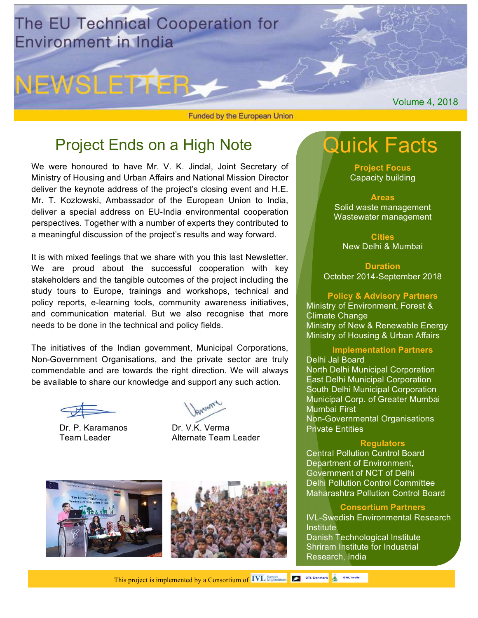

NEWSLETTER

Funded by the European Union

# Project Ends on a High Note

We were honoured to have Mr. V. K. Jindal, Joint Secretary of Ministry of Housing and Urban Affairs and National Mission Director deliver the keynote address of the project's closing event and H.E. Mr. T. Kozlowski, Ambassador of the European Union to India, deliver a special address on EU-India environmental cooperation perspectives. Together with a number of experts they contributed to a meaningful discussion of the project's results and way forward.

It is with mixed feelings that we share with you this last Newsletter. We are proud about the successful cooperation with key stakeholders and the tangible outcomes of the project including the study tours to Europe, trainings and workshops, technical and policy reports, e-learning tools, community awareness initiatives, and communication material. But we also recognise that more needs to be done in the technical and policy fields.

The initiatives of the Indian government, Municipal Corporations, Non-Government Organisations, and the private sector are truly commendable and are towards the right direction. We will always be available to share our knowledge and support any such action.

Dr. P. Karamanos Dr. V.K. Verma

Team Leader **Alternate Team Leader** 







**Project Focus** Capacity building

**Areas** Solid waste management Wastewater management

**Cities** New Delhi & Mumbai

**Duration** October 2014-September 2018

### **Policy & Advisory Partners**

Ministry of Environment, Forest & Climate Change Ministry of New & Renewable Energy Ministry of Housing & Urban Affairs

#### **Implementation Partners**

Delhi Jal Board

North Delhi Municipal Corporation East Delhi Municipal Corporation South Delhi Municipal Corporation Municipal Corp. of Greater Mumbai Mumbai First Non-Governmental Organisations

Private Entities

#### **Regulators**

Central Pollution Control Board Department of Environment, Government of NCT of Delhi Delhi Pollution Control Committee Maharashtra Pollution Control Board

#### **Consortium Partners**

IVL-Swedish Environmental Research **Institute** Danish Technological Institute Shriram Institute for Industrial Research, India

Volume 4, 2018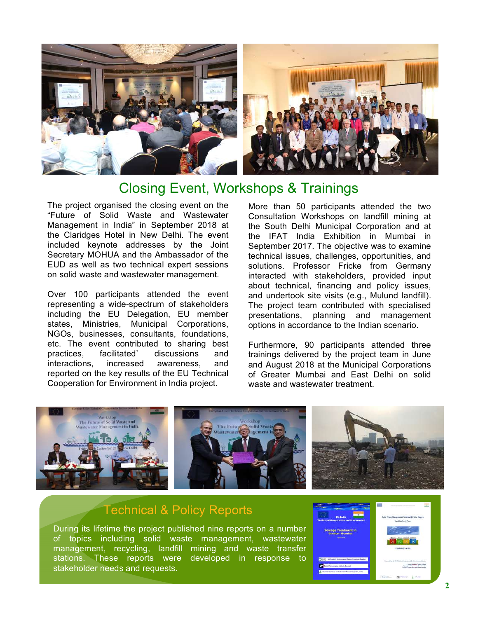

## Closing Event, Workshops & Trainings

The project organised the closing event on the "Future of Solid Waste and Wastewater Management in India" in September 2018 at the Claridges Hotel in New Delhi. The event included keynote addresses by the Joint Secretary MOHUA and the Ambassador of the EUD as well as two technical expert sessions on solid waste and wastewater management.

Over 100 participants attended the event representing a wide-spectrum of stakeholders including the EU Delegation, EU member states, Ministries, Municipal Corporations, NGOs, businesses, consultants, foundations, etc. The event contributed to sharing best practices, facilitated` discussions and interactions, increased awareness, and reported on the key results of the EU Technical Cooperation for Environment in India project.

More than 50 participants attended the two Consultation Workshops on landfill mining at the South Delhi Municipal Corporation and at the IFAT India Exhibition in Mumbai in September 2017. The objective was to examine technical issues, challenges, opportunities, and solutions. Professor Fricke from Germany interacted with stakeholders, provided input about technical, financing and policy issues, and undertook site visits (e.g., Mulund landfill). The project team contributed with specialised presentations, planning and management options in accordance to the Indian scenario.

Furthermore, 90 participants attended three trainings delivered by the project team in June and August 2018 at the Municipal Corporations of Greater Mumbai and East Delhi on solid waste and wastewater treatment.



### Technical & Policy Reports

During its lifetime the project published nine reports on a number of topics including solid waste management, wastewater management, recycling, landfill mining and waste transfer stations. These reports were developed in response to stakeholder needs and requests.

| <b>EU-India</b><br><b>Technical Cooperation on Environment</b> | Solid Wante Management Technical & Policy Hepoth<br><b>Bend bis Starty Team</b><br>and the company of the company of |
|----------------------------------------------------------------|----------------------------------------------------------------------------------------------------------------------|
| <b>Sewage Treatment in</b><br><b>Greater Mumbal</b><br>dealers | Goldbar 24n.26to.<br>Canada Service Contractor                                                                       |
| M. bredah Economistal Research Institute, Sweden               | Prescriptive dealer Talento of Experience Art Registrations Product<br><b>Romi dealers were blackt</b>               |
| <b>Senior Technological Institute, Devesels</b>                | Penaglian Kuronamm, Tage Louise<br>In U.S. Yamas alternate Yang turalay                                              |
| Distant batton for buloched Rossesti, Odlis, India             | $\sim$                                                                                                               |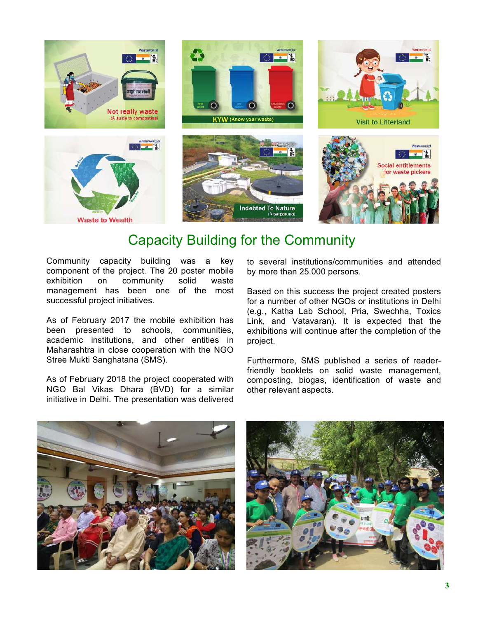

## Capacity Building for the Community

Community capacity building was a key component of the project. The 20 poster mobile exhibition on community solid waste management has been one of the most successful project initiatives.

As of February 2017 the mobile exhibition has been presented to schools, communities, academic institutions, and other entities in Maharashtra in close cooperation with the NGO Stree Mukti Sanghatana (SMS).

As of February 2018 the project cooperated with NGO Bal Vikas Dhara (BVD) for a similar initiative in Delhi. Τhe presentation was delivered to several institutions/communities and attended by more than 25.000 persons.

Based on this success the project created posters for a number of other NGOs or institutions in Delhi (e.g., Katha Lab School, Pria, Swechha, Toxics Link, and Vatavaran). It is expected that the exhibitions will continue after the completion of the project.

Furthermore, SMS published a series of readerfriendly booklets on solid waste management, composting, biogas, identification of waste and other relevant aspects.